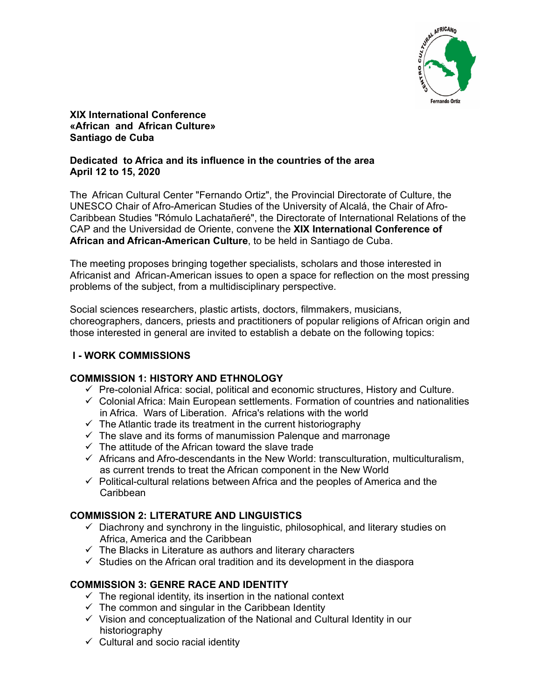

**XIX International Conference «African and African Culture» Santiago de Cuba** 

# **Dedicated to Africa and its influence in the countries of the area April 12 to 15, 2020**

The African Cultural Center "Fernando Ortiz", the Provincial Directorate of Culture, the UNESCO Chair of Afro-American Studies of the University of Alcalá, the Chair of Afro-Caribbean Studies "Rómulo Lachatañeré", the Directorate of International Relations of the CAP and the Universidad de Oriente, convene the **XIX International Conference of African and African-American Culture**, to be held in Santiago de Cuba.

The meeting proposes bringing together specialists, scholars and those interested in Africanist and African-American issues to open a space for reflection on the most pressing problems of the subject, from a multidisciplinary perspective.

Social sciences researchers, plastic artists, doctors, filmmakers, musicians, choreographers, dancers, priests and practitioners of popular religions of African origin and those interested in general are invited to establish a debate on the following topics:

# **I - WORK COMMISSIONS**

# **COMMISSION 1: HISTORY AND ETHNOLOGY**

- $\checkmark$  Pre-colonial Africa: social, political and economic structures, History and Culture.
- $\checkmark$  Colonial Africa: Main European settlements. Formation of countries and nationalities in Africa. Wars of Liberation. Africa's relations with the world
- $\checkmark$  The Atlantic trade its treatment in the current historiography
- $\checkmark$  The slave and its forms of manumission Palengue and marronage
- $\checkmark$  The attitude of the African toward the slave trade
- $\checkmark$  Africans and Afro-descendants in the New World: transculturation, multiculturalism, as current trends to treat the African component in the New World
- $\checkmark$  Political-cultural relations between Africa and the peoples of America and the Caribbean

# **COMMISSION 2: LITERATURE AND LINGUISTICS**

- $\checkmark$  Diachrony and synchrony in the linguistic, philosophical, and literary studies on Africa, America and the Caribbean
- $\checkmark$  The Blacks in Literature as authors and literary characters
- $\checkmark$  Studies on the African oral tradition and its development in the diaspora

# **COMMISSION 3: GENRE RACE AND IDENTITY**

- $\checkmark$  The regional identity, its insertion in the national context
- $\checkmark$  The common and singular in the Caribbean Identity
- $\checkmark$  Vision and conceptualization of the National and Cultural Identity in our historiography
- $\checkmark$  Cultural and socio racial identity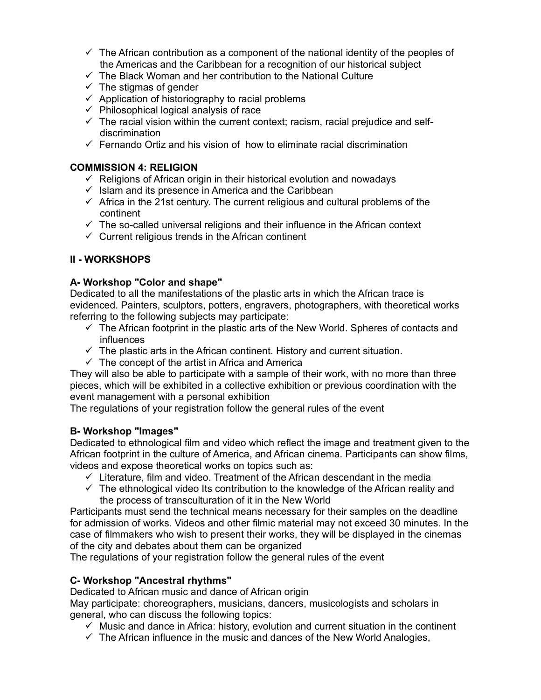- $\checkmark$  The African contribution as a component of the national identity of the peoples of the Americas and the Caribbean for a recognition of our historical subject
- $\checkmark$  The Black Woman and her contribution to the National Culture
- $\checkmark$  The stigmas of gender
- $\checkmark$  Application of historiography to racial problems
- $\checkmark$  Philosophical logical analysis of race
- $\checkmark$  The racial vision within the current context; racism, racial prejudice and selfdiscrimination
- $\checkmark$  Fernando Ortiz and his vision of how to eliminate racial discrimination

# **COMMISSION 4: RELIGION**

- $\checkmark$  Religions of African origin in their historical evolution and nowadays
- $\checkmark$  Islam and its presence in America and the Caribbean
- $\checkmark$  Africa in the 21st century. The current religious and cultural problems of the continent
- $\checkmark$  The so-called universal religions and their influence in the African context
- $\checkmark$  Current religious trends in the African continent

# **II - WORKSHOPS**

# **A- Workshop "Color and shape"**

Dedicated to all the manifestations of the plastic arts in which the African trace is evidenced. Painters, sculptors, potters, engravers, photographers, with theoretical works referring to the following subjects may participate:

- $\checkmark$  The African footprint in the plastic arts of the New World. Spheres of contacts and influences
- $\checkmark$  The plastic arts in the African continent. History and current situation.
- $\checkmark$  The concept of the artist in Africa and America

They will also be able to participate with a sample of their work, with no more than three pieces, which will be exhibited in a collective exhibition or previous coordination with the event management with a personal exhibition

The regulations of your registration follow the general rules of the event

# **B- Workshop "Images"**

Dedicated to ethnological film and video which reflect the image and treatment given to the African footprint in the culture of America, and African cinema. Participants can show films, videos and expose theoretical works on topics such as:

- $\checkmark$  Literature, film and video. Treatment of the African descendant in the media
- $\checkmark$  The ethnological video Its contribution to the knowledge of the African reality and the process of transculturation of it in the New World

Participants must send the technical means necessary for their samples on the deadline for admission of works. Videos and other filmic material may not exceed 30 minutes. In the case of filmmakers who wish to present their works, they will be displayed in the cinemas of the city and debates about them can be organized

The regulations of your registration follow the general rules of the event

# **C- Workshop "Ancestral rhythms"**

Dedicated to African music and dance of African origin

May participate: choreographers, musicians, dancers, musicologists and scholars in general, who can discuss the following topics:

- $\checkmark$  Music and dance in Africa: history, evolution and current situation in the continent
- $\checkmark$  The African influence in the music and dances of the New World Analogies,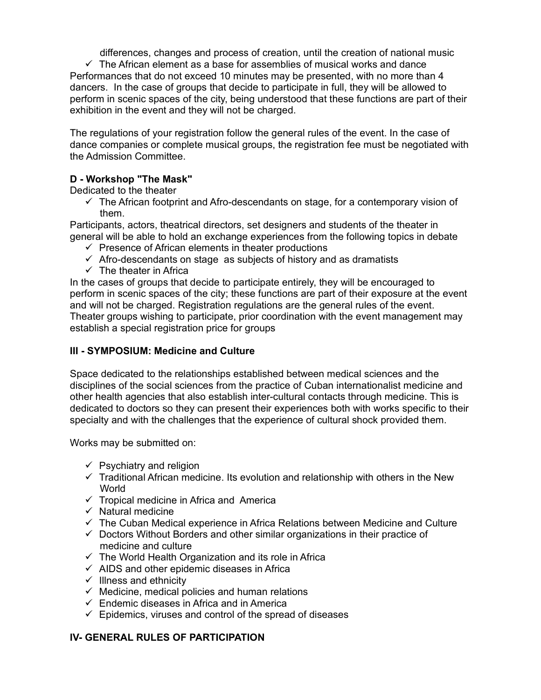differences, changes and process of creation, until the creation of national music

 $\checkmark$  The African element as a base for assemblies of musical works and dance Performances that do not exceed 10 minutes may be presented, with no more than 4 dancers. In the case of groups that decide to participate in full, they will be allowed to perform in scenic spaces of the city, being understood that these functions are part of their exhibition in the event and they will not be charged.

The regulations of your registration follow the general rules of the event. In the case of dance companies or complete musical groups, the registration fee must be negotiated with the Admission Committee.

# **D - Workshop "The Mask"**

Dedicated to the theater

 $\checkmark$  The African footprint and Afro-descendants on stage, for a contemporary vision of them.

Participants, actors, theatrical directors, set designers and students of the theater in general will be able to hold an exchange experiences from the following topics in debate

- $\checkmark$  Presence of African elements in theater productions
- $\checkmark$  Afro-descendants on stage as subjects of history and as dramatists
- $\checkmark$  The theater in Africa

In the cases of groups that decide to participate entirely, they will be encouraged to perform in scenic spaces of the city; these functions are part of their exposure at the event and will not be charged. Registration regulations are the general rules of the event. Theater groups wishing to participate, prior coordination with the event management may establish a special registration price for groups

# **III - SYMPOSIUM: Medicine and Culture**

Space dedicated to the relationships established between medical sciences and the disciplines of the social sciences from the practice of Cuban internationalist medicine and other health agencies that also establish inter-cultural contacts through medicine. This is dedicated to doctors so they can present their experiences both with works specific to their specialty and with the challenges that the experience of cultural shock provided them.

Works may be submitted on:

- $\checkmark$  Psychiatry and religion
- $\checkmark$  Traditional African medicine. Its evolution and relationship with others in the New **World**
- $\checkmark$  Tropical medicine in Africa and America
- $\checkmark$  Natural medicine
- $\checkmark$  The Cuban Medical experience in Africa Relations between Medicine and Culture
- $\checkmark$  Doctors Without Borders and other similar organizations in their practice of medicine and culture
- $\checkmark$  The World Health Organization and its role in Africa
- $\checkmark$  AIDS and other epidemic diseases in Africa
- $\checkmark$  Illness and ethnicity
- $\checkmark$  Medicine, medical policies and human relations
- $\checkmark$  Endemic diseases in Africa and in America
- $\checkmark$  Epidemics, viruses and control of the spread of diseases

# **IV- GENERAL RULES OF PARTICIPATION**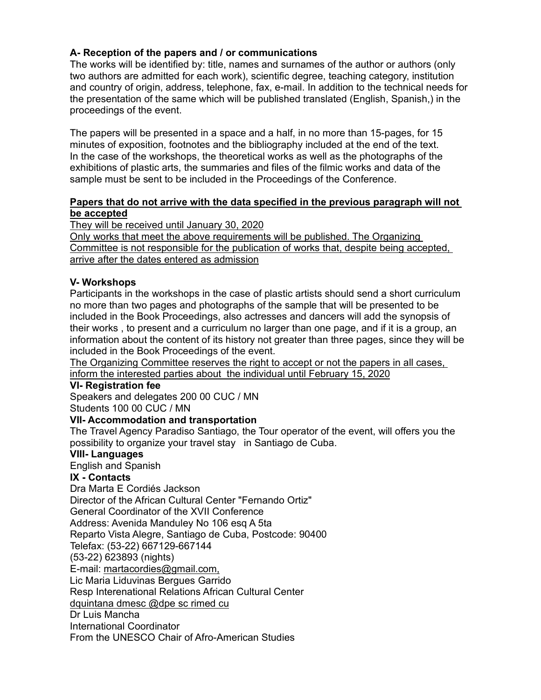# **A- Reception of the papers and / or communications**

The works will be identified by: title, names and surnames of the author or authors (only two authors are admitted for each work), scientific degree, teaching category, institution and country of origin, address, telephone, fax, e-mail. In addition to the technical needs for the presentation of the same which will be published translated (English, Spanish,) in the proceedings of the event.

The papers will be presented in a space and a half, in no more than 15-pages, for 15 minutes of exposition, footnotes and the bibliography included at the end of the text. In the case of the workshops, the theoretical works as well as the photographs of the exhibitions of plastic arts, the summaries and files of the filmic works and data of the sample must be sent to be included in the Proceedings of the Conference.

# **Papers that do not arrive with the data specified in the previous paragraph will not be accepted**

They will be received until January 30, 2020

Only works that meet the above requirements will be published. The Organizing Committee is not responsible for the publication of works that, despite being accepted, arrive after the dates entered as admission

# **V- Workshops**

Participants in the workshops in the case of plastic artists should send a short curriculum no more than two pages and photographs of the sample that will be presented to be included in the Book Proceedings, also actresses and dancers will add the synopsis of their works , to present and a curriculum no larger than one page, and if it is a group, an information about the content of its history not greater than three pages, since they will be included in the Book Proceedings of the event.

The Organizing Committee reserves the right to accept or not the papers in all cases, inform the interested parties about the individual until February 15, 2020

# **VI- Registration fee**

Speakers and delegates 200 00 CUC / MN Students 100 00 CUC / MN

# **VII- Accommodation and transportation**

The Travel Agency Paradiso Santiago, the Tour operator of the event, will offers you the possibility to organize your travel stay in Santiago de Cuba.

# **VIII- Languages**

English and Spanish

# **IX - Contacts**

Dra Marta E Cordiés Jackson Director of the African Cultural Center "Fernando Ortiz" General Coordinator of the XVII Conference Address: Avenida Manduley No 106 esq A 5ta Reparto Vista Alegre, Santiago de Cuba, Postcode: 90400 Telefax: (53-22) 667129-667144 (53-22) 623893 (nights) E-mail: martacordies@gmail.com, Lic Maria Liduvinas Bergues Garrido Resp Interenational Relations African Cultural Center dquintana dmesc @dpe sc rimed cu Dr Luis Mancha International Coordinator From the UNESCO Chair of Afro-American Studies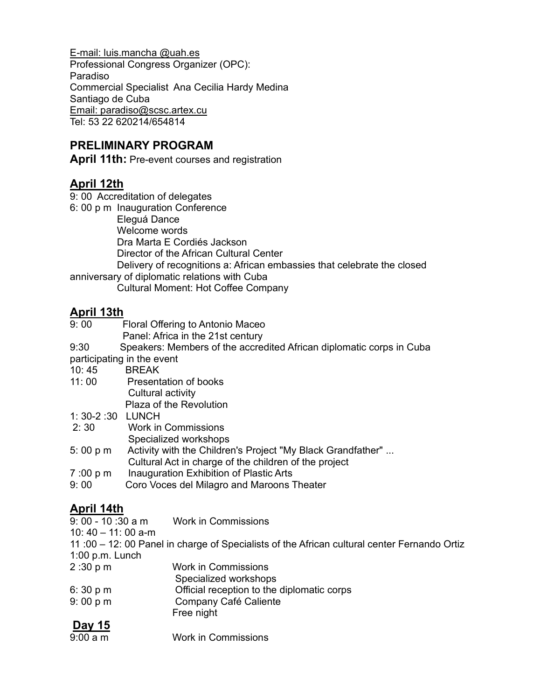E-mail: luis.mancha @uah.es Professional Congress Organizer (OPC): Paradiso Commercial Specialist Ana Cecilia Hardy Medina Santiago de Cuba Email: paradiso@scsc.artex.cu Tel: 53 22 620214/654814

# **PRELIMINARY PROGRAM**

**April 11th:** Pre-event courses and registration

# **April 12th**

9: 00 Accreditation of delegates

6: 00 p m Inauguration Conference Eleguá Dance Welcome words Dra Marta E Cordiés Jackson Director of the African Cultural Center Delivery of recognitions a: African embassies that celebrate the closed anniversary of diplomatic relations with Cuba Cultural Moment: Hot Coffee Company

# **April 13th**

| 9:00 | Floral Offering to Antonio Maceo |
|------|----------------------------------|
|      |                                  |

Panel: Africa in the 21st century

9:30 Speakers: Members of the accredited African diplomatic corps in Cuba

participating in the event

- 10: 45 BREAK
- 11: 00 Presentation of books Cultural activity
	- Plaza of the Revolution
- 1: 30-2 :30 LUNCH
- 2: 30 Work in Commissions
	- Specialized workshops
- 5: 00 p m Activity with the Children's Project "My Black Grandfather" ...
- Cultural Act in charge of the children of the project
- 7 :00 p m Inauguration Exhibition of Plastic Arts
- 9: 00 Coro Voces del Milagro and Maroons Theater

- **<u>April 14th</u><br>9: 00 10 :30 a m** Work in Commissions
- 10: 40 11: 00 a-m
- 11 :00 12: 00 Panel in charge of Specialists of the African cultural center Fernando Ortiz 1:00 p.m. Lunch
- 2 :30 p m Work in Commissions
- Specialized workshops
- 6: 30 p m Official reception to the diplomatic corps
- 9: 00 p m Company Café Caliente
- Free night
- **Day 15**  Work in Commissions